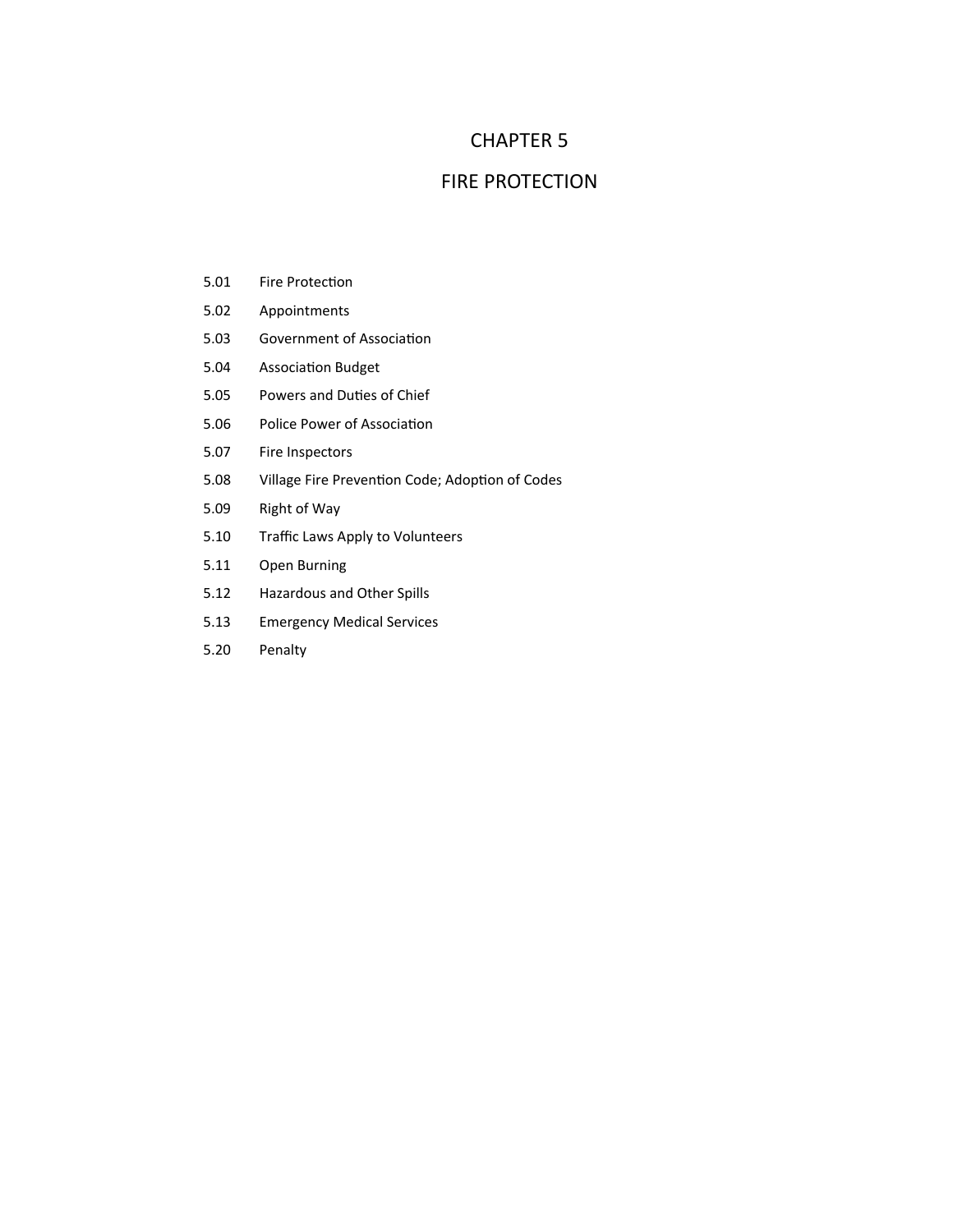## CHAPTER 5

## FIRE PROTECTION

- 5.01 Fire Protection
- 5.02 Appointments
- 5.03 Government of Association
- 5.04 Association Budget
- 5.05 Powers and Duties of Chief
- 5.06 Police Power of Association
- 5.07 Fire Inspectors
- 5.08 Village Fire Prevention Code; Adoption of Codes
- 5.09 Right of Way
- 5.10 Traffic Laws Apply to Volunteers
- 5.11 Open Burning
- 5.12 Hazardous and Other Spills
- 5.13 Emergency Medical Services
- 5.20 Penalty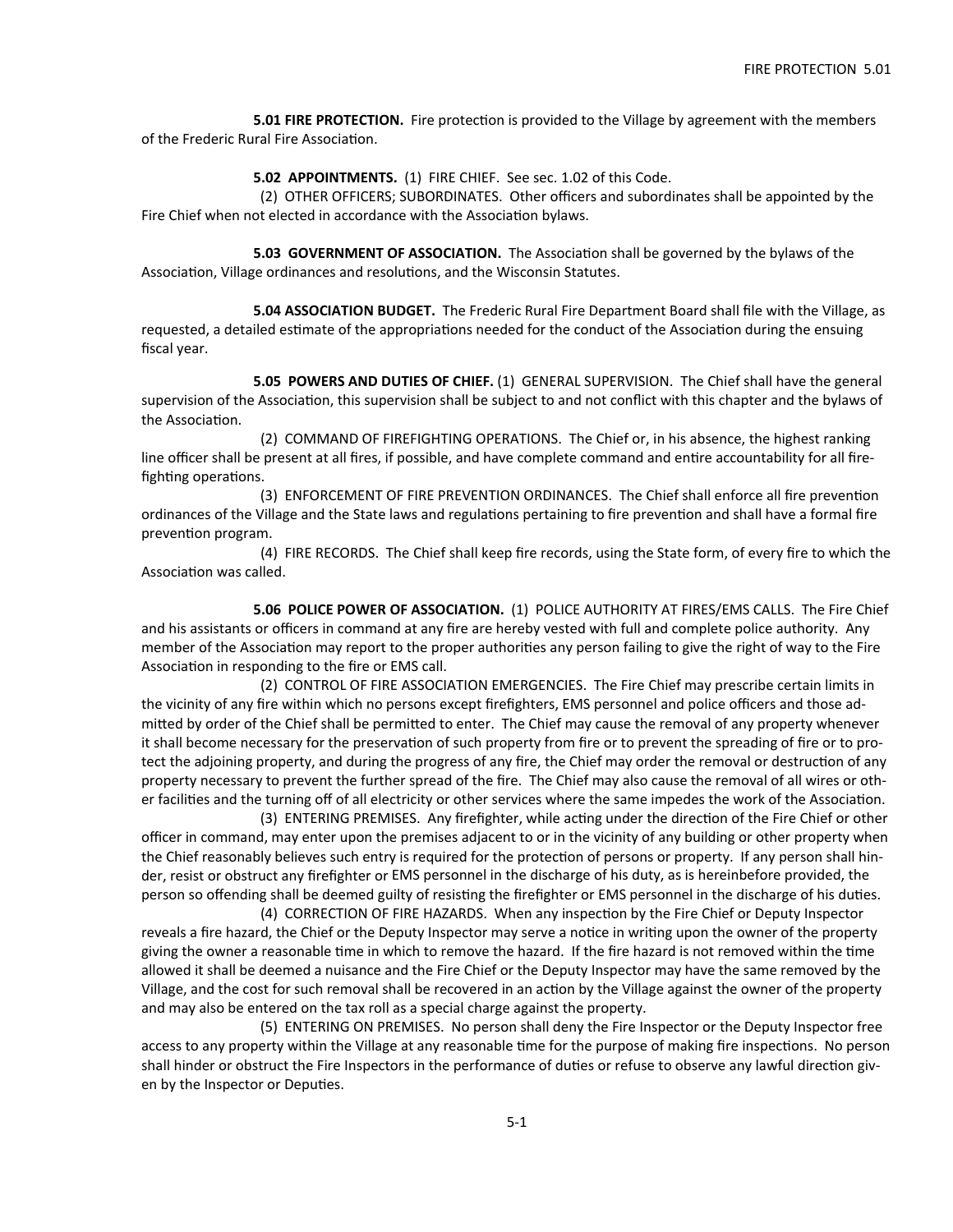**5.01 FIRE PROTECTION.** Fire protection is provided to the Village by agreement with the members of the Frederic Rural Fire Association.

**5.02 APPOINTMENTS.** (1) FIRE CHIEF. See sec. 1.02 of this Code.

 (2) OTHER OFFICERS; SUBORDINATES. Other officers and subordinates shall be appointed by the Fire Chief when not elected in accordance with the Association bylaws.

**5.03 GOVERNMENT OF ASSOCIATION.** The Association shall be governed by the bylaws of the Association, Village ordinances and resolutions, and the Wisconsin Statutes.

 **5.04 ASSOCIATION BUDGET.** The Frederic Rural Fire Department Board shall file with the Village, as requested, a detailed estimate of the appropriations needed for the conduct of the Association during the ensuing fiscal year.

 **5.05 POWERS AND DUTIES OF CHIEF.** (1) GENERAL SUPERVISION. The Chief shall have the general supervision of the Association, this supervision shall be subject to and not conflict with this chapter and the bylaws of the Association.

 (2) COMMAND OF FIREFIGHTING OPERATIONS. The Chief or, in his absence, the highest ranking line officer shall be present at all fires, if possible, and have complete command and entire accountability for all firefighting operations.

(3) ENFORCEMENT OF FIRE PREVENTION ORDINANCES. The Chief shall enforce all fire prevention ordinances of the Village and the State laws and regulations pertaining to fire prevention and shall have a formal fire prevention program.

 (4) FIRE RECORDS. The Chief shall keep fire records, using the State form, of every fire to which the Association was called.

 **5.06 POLICE POWER OF ASSOCIATION.** (1) POLICE AUTHORITY AT FIRES/EMS CALLS. The Fire Chief and his assistants or officers in command at any fire are hereby vested with full and complete police authority. Any member of the Association may report to the proper authorities any person failing to give the right of way to the Fire Association in responding to the fire or EMS call.

 (2) CONTROL OF FIRE ASSOCIATION EMERGENCIES. The Fire Chief may prescribe certain limits in the vicinity of any fire within which no persons except firefighters, EMS personnel and police officers and those admitted by order of the Chief shall be permitted to enter. The Chief may cause the removal of any property whenever it shall become necessary for the preservation of such property from fire or to prevent the spreading of fire or to protect the adjoining property, and during the progress of any fire, the Chief may order the removal or destruction of any property necessary to prevent the further spread of the fire. The Chief may also cause the removal of all wires or other facilities and the turning off of all electricity or other services where the same impedes the work of the Association.

(3) ENTERING PREMISES. Any firefighter, while acting under the direction of the Fire Chief or other officer in command, may enter upon the premises adjacent to or in the vicinity of any building or other property when the Chief reasonably believes such entry is required for the protection of persons or property. If any person shall hinder, resist or obstruct any firefighter or EMS personnel in the discharge of his duty, as is hereinbefore provided, the person so offending shall be deemed guilty of resisting the firefighter or EMS personnel in the discharge of his duties.

(4) CORRECTION OF FIRE HAZARDS. When any inspection by the Fire Chief or Deputy Inspector reveals a fire hazard, the Chief or the Deputy Inspector may serve a notice in writing upon the owner of the property giving the owner a reasonable time in which to remove the hazard. If the fire hazard is not removed within the time allowed it shall be deemed a nuisance and the Fire Chief or the Deputy Inspector may have the same removed by the Village, and the cost for such removal shall be recovered in an action by the Village against the owner of the property and may also be entered on the tax roll as a special charge against the property.

 (5) ENTERING ON PREMISES. No person shall deny the Fire Inspector or the Deputy Inspector free access to any property within the Village at any reasonable time for the purpose of making fire inspections. No person shall hinder or obstruct the Fire Inspectors in the performance of duties or refuse to observe any lawful direction given by the Inspector or Deputies.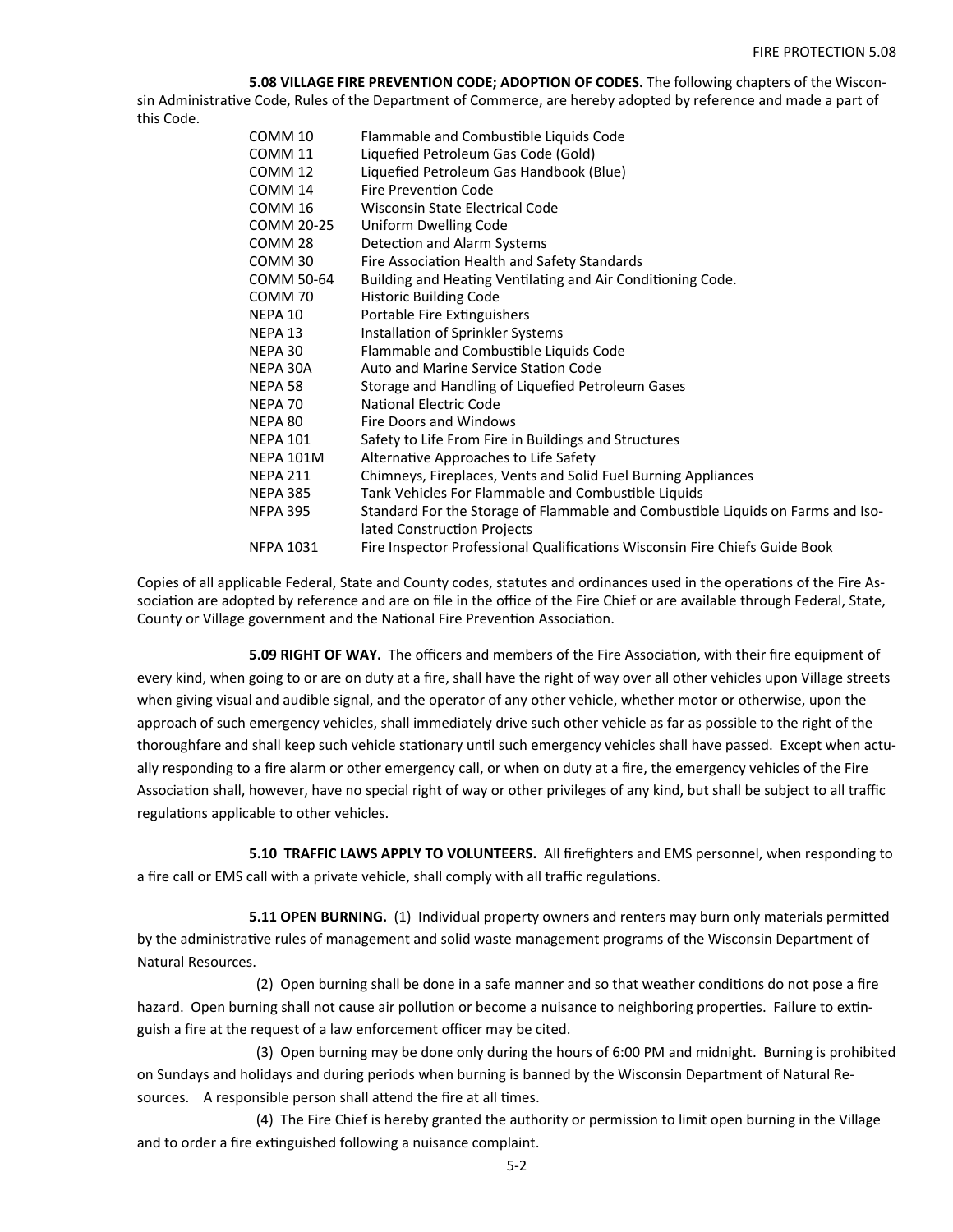**5.08 VILLAGE FIRE PREVENTION CODE; ADOPTION OF CODES.** The following chapters of the Wisconsin Administrative Code, Rules of the Department of Commerce, are hereby adopted by reference and made a part of this Code.

| COMM 10            | Flammable and Combustible Liquids Code                                          |
|--------------------|---------------------------------------------------------------------------------|
| COMM 11            | Liquefied Petroleum Gas Code (Gold)                                             |
| COMM <sub>12</sub> | Liquefied Petroleum Gas Handbook (Blue)                                         |
| COMM 14            | <b>Fire Prevention Code</b>                                                     |
| COMM <sub>16</sub> | Wisconsin State Electrical Code                                                 |
| COMM 20-25         | Uniform Dwelling Code                                                           |
| COMM 28            | Detection and Alarm Systems                                                     |
| COMM <sub>30</sub> | Fire Association Health and Safety Standards                                    |
| COMM 50-64         | Building and Heating Ventilating and Air Conditioning Code.                     |
| COMM <sub>70</sub> | <b>Historic Building Code</b>                                                   |
| NEPA 10            | Portable Fire Extinguishers                                                     |
| NEPA 13            | Installation of Sprinkler Systems                                               |
| NEPA 30            | Flammable and Combustible Liquids Code                                          |
| NEPA 30A           | Auto and Marine Service Station Code                                            |
| NEPA 58            | Storage and Handling of Liquefied Petroleum Gases                               |
| NEPA 70            | National Electric Code                                                          |
| NEPA 80            | Fire Doors and Windows                                                          |
| <b>NEPA 101</b>    | Safety to Life From Fire in Buildings and Structures                            |
| <b>NEPA 101M</b>   | Alternative Approaches to Life Safety                                           |
| <b>NEPA 211</b>    | Chimneys, Fireplaces, Vents and Solid Fuel Burning Appliances                   |
| <b>NEPA 385</b>    | Tank Vehicles For Flammable and Combustible Liquids                             |
| <b>NFPA 395</b>    | Standard For the Storage of Flammable and Combustible Liquids on Farms and Iso- |
|                    | lated Construction Projects                                                     |
| <b>NFPA 1031</b>   | Fire Inspector Professional Qualifications Wisconsin Fire Chiefs Guide Book     |

Copies of all applicable Federal, State and County codes, statutes and ordinances used in the operations of the Fire Association are adopted by reference and are on file in the office of the Fire Chief or are available through Federal, State, County or Village government and the National Fire Prevention Association.

**5.09 RIGHT OF WAY.** The officers and members of the Fire Association, with their fire equipment of every kind, when going to or are on duty at a fire, shall have the right of way over all other vehicles upon Village streets when giving visual and audible signal, and the operator of any other vehicle, whether motor or otherwise, upon the approach of such emergency vehicles, shall immediately drive such other vehicle as far as possible to the right of the thoroughfare and shall keep such vehicle stationary until such emergency vehicles shall have passed. Except when actually responding to a fire alarm or other emergency call, or when on duty at a fire, the emergency vehicles of the Fire Association shall, however, have no special right of way or other privileges of any kind, but shall be subject to all traffic regulations applicable to other vehicles.

 **5.10 TRAFFIC LAWS APPLY TO VOLUNTEERS.** All firefighters and EMS personnel, when responding to a fire call or EMS call with a private vehicle, shall comply with all traffic regulations.

**5.11 OPEN BURNING.** (1) Individual property owners and renters may burn only materials permitted by the administrative rules of management and solid waste management programs of the Wisconsin Department of Natural Resources.

(2) Open burning shall be done in a safe manner and so that weather conditions do not pose a fire hazard. Open burning shall not cause air pollution or become a nuisance to neighboring properties. Failure to extinguish a fire at the request of a law enforcement officer may be cited.

 (3) Open burning may be done only during the hours of 6:00 PM and midnight. Burning is prohibited on Sundays and holidays and during periods when burning is banned by the Wisconsin Department of Natural Resources. A responsible person shall attend the fire at all times.

 (4) The Fire Chief is hereby granted the authority or permission to limit open burning in the Village and to order a fire extinguished following a nuisance complaint.